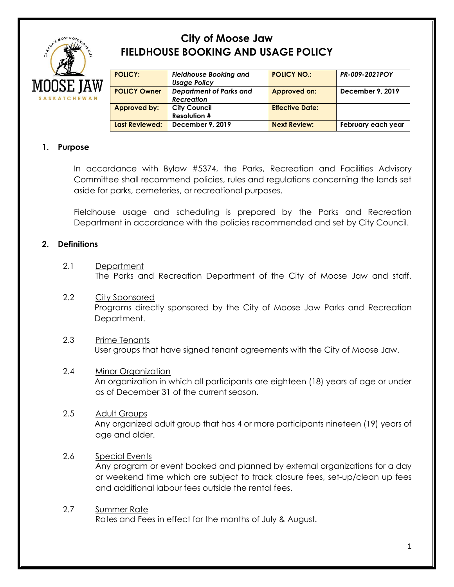

# **City of Moose Jaw FIELDHOUSE BOOKING AND USAGE POLICY**

| <b>POLICY:</b>        | <b>Fieldhouse Booking and</b><br><b>Usage Policy</b> | <b>POLICY NO.:</b>     | PR-009-2021POY     |
|-----------------------|------------------------------------------------------|------------------------|--------------------|
| <b>POLICY Owner</b>   | <b>Department of Parks and</b><br><b>Recreation</b>  | Approved on:           | December 9, 2019   |
| <b>Approved by:</b>   | <b>City Council</b><br><b>Resolution #</b>           | <b>Effective Date:</b> |                    |
| <b>Last Reviewed:</b> | December 9, 2019                                     | <b>Next Review:</b>    | February each year |

# **1. Purpose**

In accordance with Bylaw #5374, the Parks, Recreation and Facilities Advisory Committee shall recommend policies, rules and regulations concerning the lands set aside for parks, cemeteries, or recreational purposes.

Fieldhouse usage and scheduling is prepared by the Parks and Recreation Department in accordance with the policies recommended and set by City Council.

# **2. Definitions**

- 2.1 Department The Parks and Recreation Department of the City of Moose Jaw and staff.
- 2.2 City Sponsored Programs directly sponsored by the City of Moose Jaw Parks and Recreation Department.
- 2.3 Prime Tenants User groups that have signed tenant agreements with the City of Moose Jaw.

# 2.4 Minor Organization An organization in which all participants are eighteen (18) years of age or under as of December 31 of the current season.

2.5 Adult Groups Any organized adult group that has 4 or more participants nineteen (19) years of age and older.

# 2.6 Special Events

Any program or event booked and planned by external organizations for a day or weekend time which are subject to track closure fees, set-up/clean up fees and additional labour fees outside the rental fees.

2.7 Summer Rate Rates and Fees in effect for the months of July & August.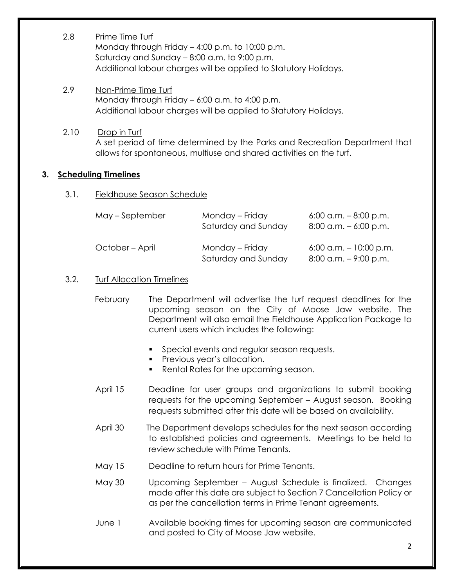- 2.8 Prime Time Turf Monday through Friday – 4:00 p.m. to 10:00 p.m. Saturday and Sunday – 8:00 a.m. to 9:00 p.m. Additional labour charges will be applied to Statutory Holidays.
- 2.9 Non-Prime Time Turf Monday through Friday – 6:00 a.m. to 4:00 p.m. Additional labour charges will be applied to Statutory Holidays.
- 2.10 Drop in Turf A set period of time determined by the Parks and Recreation Department that allows for spontaneous, multiuse and shared activities on the turf.

# **3. Scheduling Timelines**

#### 3.1. Fieldhouse Season Schedule

| May – September | Monday – Friday<br>Saturday and Sunday | $6:00$ a.m. $-8:00$ p.m.<br>$8:00$ a.m. $-6:00$ p.m.  |
|-----------------|----------------------------------------|-------------------------------------------------------|
| October – April | Monday - Friday<br>Saturday and Sunday | $6:00$ a.m. $-10:00$ p.m.<br>$8:00$ a.m. $-9:00$ p.m. |

#### 3.2. Turf Allocation Timelines

- February The Department will advertise the turf request deadlines for the upcoming season on the City of Moose Jaw website. The Department will also email the Fieldhouse Application Package to current users which includes the following:
	- Special events and regular season requests.
	- Previous year's allocation.
	- Rental Rates for the upcoming season.
- April 15 Deadline for user groups and organizations to submit booking requests for the upcoming September – August season. Booking requests submitted after this date will be based on availability.
- April 30 The Department develops schedules for the next season according to established policies and agreements. Meetings to be held to review schedule with Prime Tenants.
- May 15 Deadline to return hours for Prime Tenants.
- May 30 Upcoming September August Schedule is finalized. Changes made after this date are subject to Section 7 Cancellation Policy or as per the cancellation terms in Prime Tenant agreements.
- June 1 Available booking times for upcoming season are communicated and posted to City of Moose Jaw website.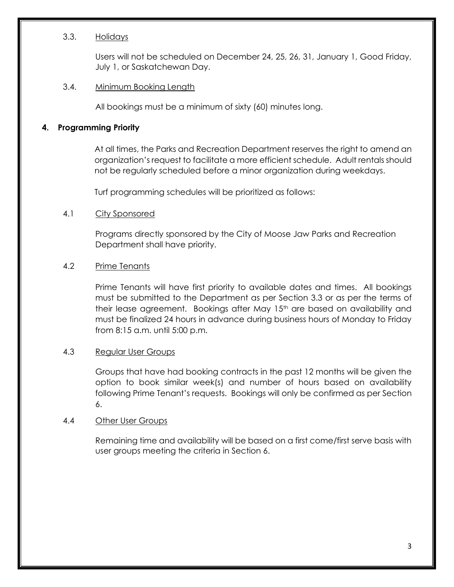#### 3.3. Holidays

Users will not be scheduled on December 24, 25, 26, 31, January 1, Good Friday, July 1, or Saskatchewan Day.

#### 3.4. Minimum Booking Length

All bookings must be a minimum of sixty (60) minutes long.

# **4. Programming Priority**

At all times, the Parks and Recreation Department reserves the right to amend an organization's request to facilitate a more efficient schedule. Adult rentals should not be regularly scheduled before a minor organization during weekdays.

Turf programming schedules will be prioritized as follows:

# 4.1 City Sponsored

Programs directly sponsored by the City of Moose Jaw Parks and Recreation Department shall have priority.

# 4.2 Prime Tenants

Prime Tenants will have first priority to available dates and times. All bookings must be submitted to the Department as per Section 3.3 or as per the terms of their lease agreement. Bookings after May 15<sup>th</sup> are based on availability and must be finalized 24 hours in advance during business hours of Monday to Friday from 8:15 a.m. until 5:00 p.m.

# 4.3 Regular User Groups

Groups that have had booking contracts in the past 12 months will be given the option to book similar week(s) and number of hours based on availability following Prime Tenant's requests. Bookings will only be confirmed as per Section 6.

#### 4.4 Other User Groups

Remaining time and availability will be based on a first come/first serve basis with user groups meeting the criteria in Section 6.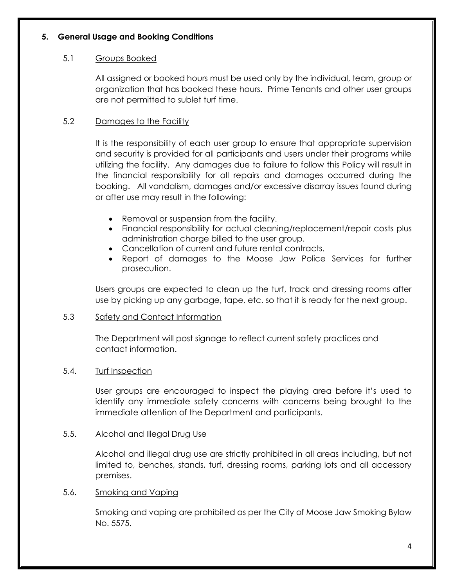# **5. General Usage and Booking Conditions**

# 5.1 Groups Booked

All assigned or booked hours must be used only by the individual, team, group or organization that has booked these hours. Prime Tenants and other user groups are not permitted to sublet turf time.

# 5.2 Damages to the Facility

It is the responsibility of each user group to ensure that appropriate supervision and security is provided for all participants and users under their programs while utilizing the facility. Any damages due to failure to follow this Policy will result in the financial responsibility for all repairs and damages occurred during the booking. All vandalism, damages and/or excessive disarray issues found during or after use may result in the following:

- Removal or suspension from the facility.
- Financial responsibility for actual cleaning/replacement/repair costs plus administration charge billed to the user group.
- Cancellation of current and future rental contracts.
- Report of damages to the Moose Jaw Police Services for further prosecution.

Users groups are expected to clean up the turf, track and dressing rooms after use by picking up any garbage, tape, etc. so that it is ready for the next group.

# 5.3 Safety and Contact Information

The Department will post signage to reflect current safety practices and contact information.

# 5.4. Turf Inspection

User groups are encouraged to inspect the playing area before it's used to identify any immediate safety concerns with concerns being brought to the immediate attention of the Department and participants.

# 5.5. Alcohol and Illegal Drug Use

Alcohol and illegal drug use are strictly prohibited in all areas including, but not limited to, benches, stands, turf, dressing rooms, parking lots and all accessory premises.

# 5.6. Smoking and Vaping

Smoking and vaping are prohibited as per the City of Moose Jaw Smoking Bylaw No. 5575.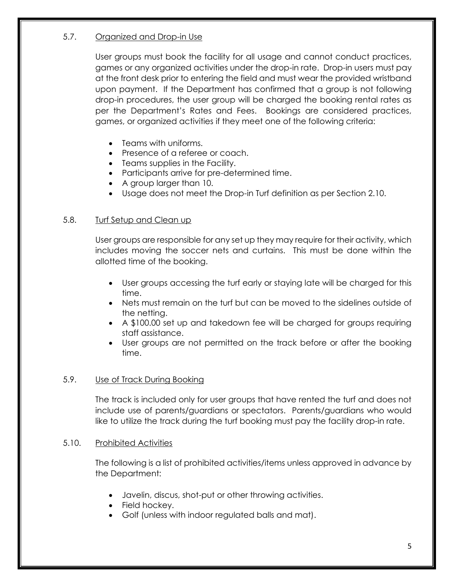# 5.7. Organized and Drop-in Use

User groups must book the facility for all usage and cannot conduct practices, games or any organized activities under the drop-in rate. Drop-in users must pay at the front desk prior to entering the field and must wear the provided wristband upon payment. If the Department has confirmed that a group is not following drop-in procedures, the user group will be charged the booking rental rates as per the Department's Rates and Fees. Bookings are considered practices, games, or organized activities if they meet one of the following criteria:

- Teams with uniforms.
- Presence of a referee or coach.
- Teams supplies in the Facility.
- Participants arrive for pre-determined time.
- A group larger than 10.
- Usage does not meet the Drop-in Turf definition as per Section 2.10.

# 5.8. Turf Setup and Clean up

User groups are responsible for any set up they may require for their activity, which includes moving the soccer nets and curtains. This must be done within the allotted time of the booking.

- User groups accessing the turf early or staying late will be charged for this time.
- Nets must remain on the turf but can be moved to the sidelines outside of the netting.
- A \$100.00 set up and takedown fee will be charged for groups requiring staff assistance.
- User groups are not permitted on the track before or after the booking time.

# 5.9. Use of Track During Booking

The track is included only for user groups that have rented the turf and does not include use of parents/guardians or spectators. Parents/guardians who would like to utilize the track during the turf booking must pay the facility drop-in rate.

# 5.10. Prohibited Activities

The following is a list of prohibited activities/items unless approved in advance by the Department:

- Javelin, discus, shot-put or other throwing activities.
- Field hockey.
- Golf (unless with indoor regulated balls and mat).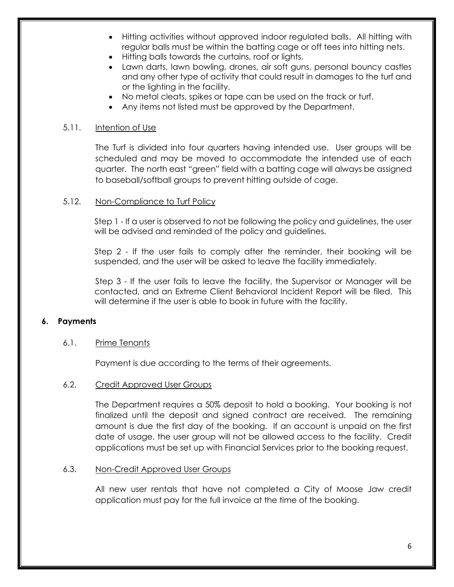- Hitting activities without approved indoor regulated balls. All hitting with regular balls must be within the batting cage or off tees into hitting nets.
- Hitting balls towards the curtains, roof or lights.
- Lawn darts, lawn bowling, drones, air soft guns, personal bouncy castles and any other type of activity that could result in damages to the turf and or the lighting in the facility.
- No metal cleats, spikes or tape can be used on the track or turf.
- Any items not listed must be approved by the Department.

# 5.11. Intention of Use

The Turf is divided into four quarters having intended use. User groups will be scheduled and may be moved to accommodate the intended use of each quarter. The north east "green" field with a batting cage will always be assigned to baseball/softball groups to prevent hitting outside of cage.

# 5.12. Non-Compliance to Turf Policy

Step 1 - If a user is observed to not be following the policy and guidelines, the user will be advised and reminded of the policy and guidelines.

Step 2 - If the user fails to comply after the reminder, their booking will be suspended, and the user will be asked to leave the facility immediately.

Step 3 - If the user fails to leave the facility, the Supervisor or Manager will be contacted, and an Extreme Client Behavioral Incident Report will be filed. This will determine if the user is able to book in future with the facility.

# **6. Payments**

#### 6.1. Prime Tenants

Payment is due according to the terms of their agreements.

## 6.2. Credit Approved User Groups

The Department requires a 50% deposit to hold a booking. Your booking is not finalized until the deposit and signed contract are received. The remaining amount is due the first day of the booking. If an account is unpaid on the first date of usage, the user group will not be allowed access to the facility. Credit applications must be set up with Financial Services prior to the booking request.

#### 6.3. Non-Credit Approved User Groups

All new user rentals that have not completed a City of Moose Jaw credit application must pay for the full invoice at the time of the booking.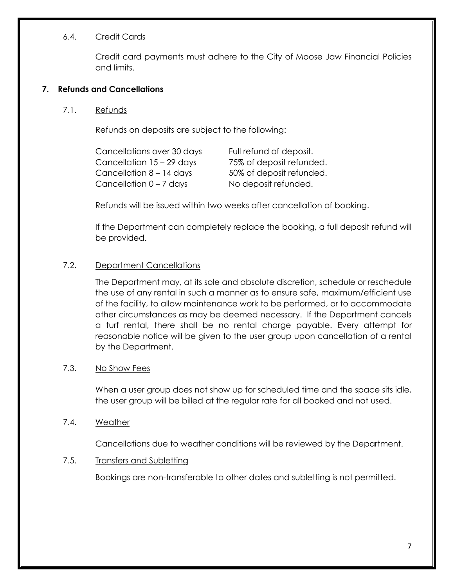# 6.4. Credit Cards

Credit card payments must adhere to the City of Moose Jaw Financial Policies and limits.

# **7. Refunds and Cancellations**

## 7.1. Refunds

Refunds on deposits are subject to the following:

| Cancellations over 30 days | Full refund of deposit.  |
|----------------------------|--------------------------|
| Cancellation 15 - 29 days  | 75% of deposit refunded. |
| Cancellation $8 - 14$ days | 50% of deposit refunded. |
| Cancellation $0 - 7$ days  | No deposit refunded.     |

Refunds will be issued within two weeks after cancellation of booking.

If the Department can completely replace the booking, a full deposit refund will be provided.

# 7.2. Department Cancellations

The Department may, at its sole and absolute discretion, schedule or reschedule the use of any rental in such a manner as to ensure safe, maximum/efficient use of the facility, to allow maintenance work to be performed, or to accommodate other circumstances as may be deemed necessary. If the Department cancels a turf rental, there shall be no rental charge payable. Every attempt for reasonable notice will be given to the user group upon cancellation of a rental by the Department.

## 7.3. No Show Fees

When a user group does not show up for scheduled time and the space sits idle, the user group will be billed at the regular rate for all booked and not used.

#### 7.4. Weather

Cancellations due to weather conditions will be reviewed by the Department.

#### 7.5. Transfers and Subletting

Bookings are non-transferable to other dates and subletting is not permitted.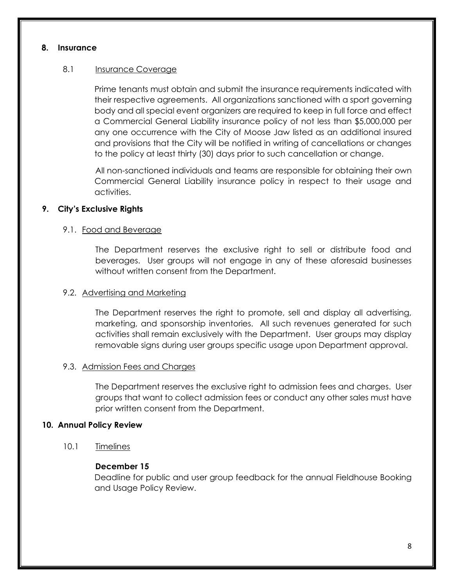## **8. Insurance**

# 8.1 Insurance Coverage

Prime tenants must obtain and submit the insurance requirements indicated with their respective agreements. All organizations sanctioned with a sport governing body and all special event organizers are required to keep in full force and effect a Commercial General Liability insurance policy of not less than \$5,000,000 per any one occurrence with the City of Moose Jaw listed as an additional insured and provisions that the City will be notified in writing of cancellations or changes to the policy at least thirty (30) days prior to such cancellation or change.

All non-sanctioned individuals and teams are responsible for obtaining their own Commercial General Liability insurance policy in respect to their usage and activities.

# **9. City's Exclusive Rights**

# 9.1. Food and Beverage

The Department reserves the exclusive right to sell or distribute food and beverages. User groups will not engage in any of these aforesaid businesses without written consent from the Department.

## 9.2. Advertising and Marketing

The Department reserves the right to promote, sell and display all advertising, marketing, and sponsorship inventories. All such revenues generated for such activities shall remain exclusively with the Department. User groups may display removable signs during user groups specific usage upon Department approval.

#### 9.3. Admission Fees and Charges

The Department reserves the exclusive right to admission fees and charges. User groups that want to collect admission fees or conduct any other sales must have prior written consent from the Department.

#### **10. Annual Policy Review**

10.1 Timelines

# **December 15**

Deadline for public and user group feedback for the annual Fieldhouse Booking and Usage Policy Review.